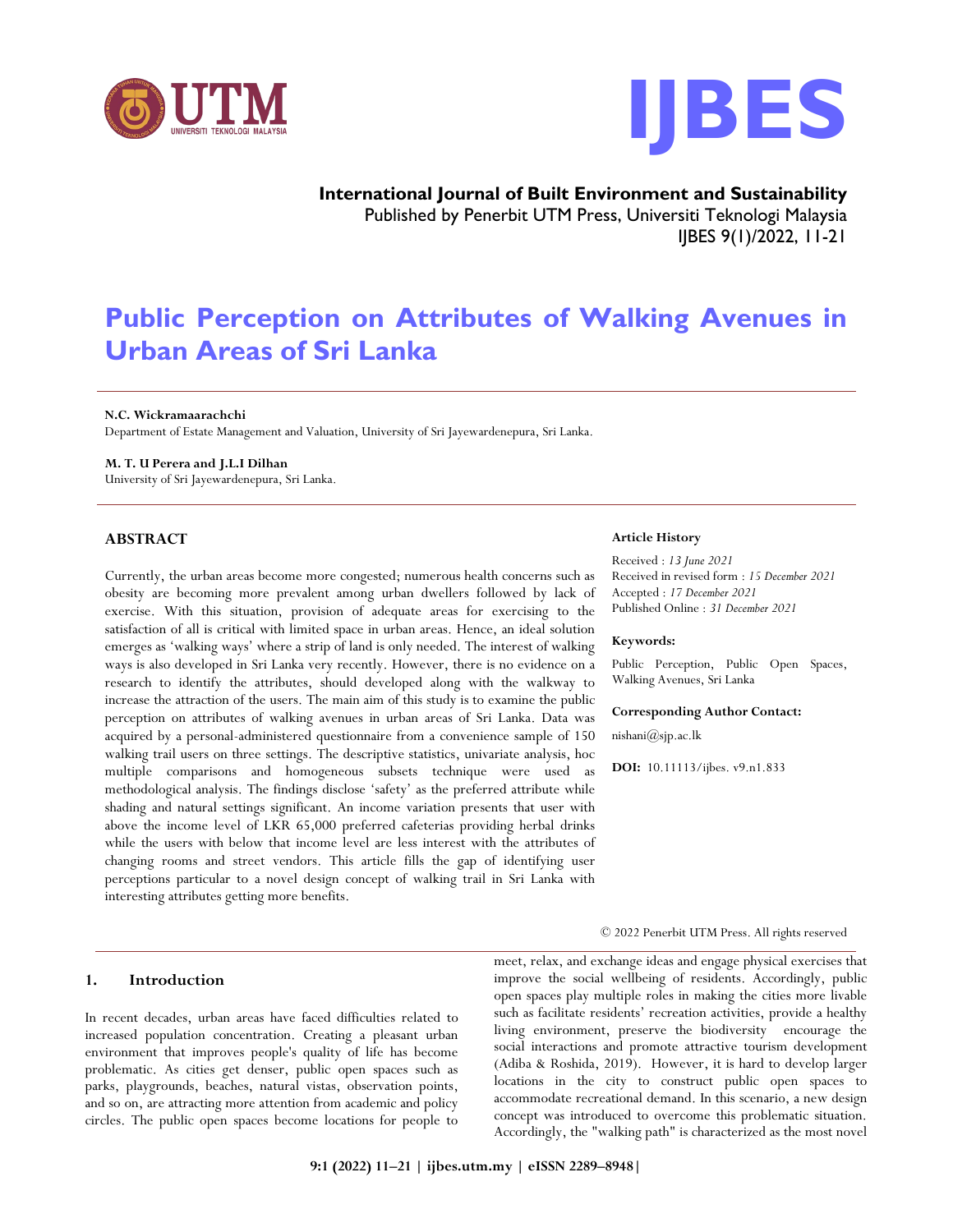



**International Journal of Built Environment and Sustainability** Published by Penerbit UTM Press, Universiti Teknologi Malaysia IJBES 9(1)/2022, 11-21

# **Public Perception on Attributes of Walking Avenues in Urban Areas of Sri Lanka**

#### **N.C. Wickramaarachchi**

Department of Estate Management and Valuation, University of Sri Jayewardenepura, Sri Lanka.

## **M. T. U Perera and J.L.I Dilhan**

University of Sri Jayewardenepura, Sri Lanka.

# **ABSTRACT**

Currently, the urban areas become more congested; numerous health concerns such as obesity are becoming more prevalent among urban dwellers followed by lack of exercise. With this situation, provision of adequate areas for exercising to the satisfaction of all is critical with limited space in urban areas. Hence, an ideal solution emerges as 'walking ways' where a strip of land is only needed. The interest of walking ways is also developed in Sri Lanka very recently. However, there is no evidence on a research to identify the attributes, should developed along with the walkway to increase the attraction of the users. The main aim of this study is to examine the public perception on attributes of walking avenues in urban areas of Sri Lanka. Data was acquired by a personal-administered questionnaire from a convenience sample of 150 walking trail users on three settings. The descriptive statistics, univariate analysis, hoc multiple comparisons and homogeneous subsets technique were used as methodological analysis. The findings disclose 'safety' as the preferred attribute while shading and natural settings significant. An income variation presents that user with above the income level of LKR 65,000 preferred cafeterias providing herbal drinks while the users with below that income level are less interest with the attributes of changing rooms and street vendors. This article fills the gap of identifying user perceptions particular to a novel design concept of walking trail in Sri Lanka with interesting attributes getting more benefits.

## **1. Introduction**

In recent decades, urban areas have faced difficulties related to increased population concentration. Creating a pleasant urban environment that improves people's quality of life has become problematic. As cities get denser, public open spaces such as parks, playgrounds, beaches, natural vistas, observation points, and so on, are attracting more attention from academic and policy circles. The public open spaces become locations for people to

#### **Article History**

Received : *13 June 2021* Received in revised form : *15 December 2021* Accepted : *17 December 2021* Published Online : *31 December 2021*

#### **Keywords:**

Public Perception, Public Open Spaces, Walking Avenues, Sri Lanka

#### **Corresponding Author Contact:**

nishani@sjp.ac.lk

**DOI:** 10.11113/ijbes. v9.n1.833

© 2022 Penerbit UTM Press. All rights reserved

meet, relax, and exchange ideas and engage physical exercises that improve the social wellbeing of residents. Accordingly, public open spaces play multiple roles in making the cities more livable such as facilitate residents' recreation activities, provide a healthy living environment, preserve the biodiversity encourage the social interactions and promote attractive tourism development (Adiba & Roshida, 2019). However, it is hard to develop larger locations in the city to construct public open spaces to accommodate recreational demand. In this scenario, a new design concept was introduced to overcome this problematic situation. Accordingly, the "walking path" is characterized as the most novel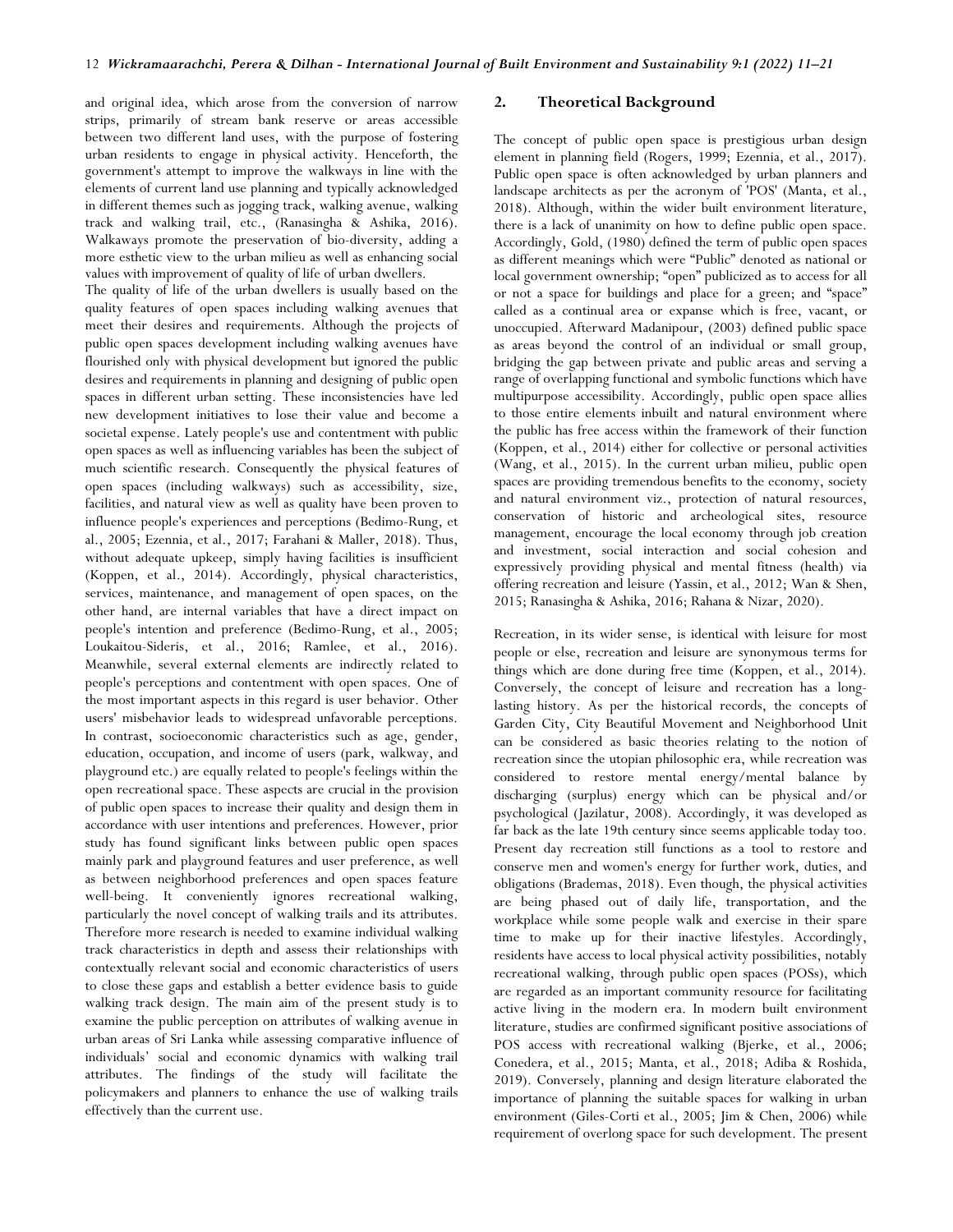and original idea, which arose from the conversion of narrow strips, primarily of stream bank reserve or areas accessible between two different land uses, with the purpose of fostering urban residents to engage in physical activity. Henceforth, the government's attempt to improve the walkways in line with the elements of current land use planning and typically acknowledged in different themes such as jogging track, walking avenue, walking track and walking trail, etc., (Ranasingha & Ashika, 2016). Walkaways promote the preservation of bio-diversity, adding a more esthetic view to the urban milieu as well as enhancing social values with improvement of quality of life of urban dwellers.

The quality of life of the urban dwellers is usually based on the quality features of open spaces including walking avenues that meet their desires and requirements. Although the projects of public open spaces development including walking avenues have flourished only with physical development but ignored the public desires and requirements in planning and designing of public open spaces in different urban setting. These inconsistencies have led new development initiatives to lose their value and become a societal expense. Lately people's use and contentment with public open spaces as well as influencing variables has been the subject of much scientific research. Consequently the physical features of open spaces (including walkways) such as accessibility, size, facilities, and natural view as well as quality have been proven to influence people's experiences and perceptions (Bedimo-Rung, et al., 2005; Ezennia, et al., 2017; Farahani & Maller, 2018). Thus, without adequate upkeep, simply having facilities is insufficient (Koppen, et al., 2014). Accordingly, physical characteristics, services, maintenance, and management of open spaces, on the other hand, are internal variables that have a direct impact on people's intention and preference (Bedimo-Rung, et al., 2005; Loukaitou-Sideris, et al., 2016; Ramlee, et al., 2016). Meanwhile, several external elements are indirectly related to people's perceptions and contentment with open spaces. One of the most important aspects in this regard is user behavior. Other users' misbehavior leads to widespread unfavorable perceptions. In contrast, socioeconomic characteristics such as age, gender, education, occupation, and income of users (park, walkway, and playground etc.) are equally related to people's feelings within the open recreational space. These aspects are crucial in the provision of public open spaces to increase their quality and design them in accordance with user intentions and preferences. However, prior study has found significant links between public open spaces mainly park and playground features and user preference, as well as between neighborhood preferences and open spaces feature well-being. It conveniently ignores recreational walking, particularly the novel concept of walking trails and its attributes. Therefore more research is needed to examine individual walking track characteristics in depth and assess their relationships with contextually relevant social and economic characteristics of users to close these gaps and establish a better evidence basis to guide walking track design. The main aim of the present study is to examine the public perception on attributes of walking avenue in urban areas of Sri Lanka while assessing comparative influence of individuals' social and economic dynamics with walking trail attributes. The findings of the study will facilitate the policymakers and planners to enhance the use of walking trails effectively than the current use.

## **2. Theoretical Background**

The concept of public open space is prestigious urban design element in planning field (Rogers, 1999; Ezennia, et al., 2017). Public open space is often acknowledged by urban planners and landscape architects as per the acronym of 'POS' (Manta, et al., 2018). Although, within the wider built environment literature, there is a lack of unanimity on how to define public open space. Accordingly, Gold, (1980) defined the term of public open spaces as different meanings which were "Public" denoted as national or local government ownership; "open" publicized as to access for all or not a space for buildings and place for a green; and "space" called as a continual area or expanse which is free, vacant, or unoccupied. Afterward Madanipour, (2003) defined public space as areas beyond the control of an individual or small group, bridging the gap between private and public areas and serving a range of overlapping functional and symbolic functions which have multipurpose accessibility. Accordingly, public open space allies to those entire elements inbuilt and natural environment where the public has free access within the framework of their function (Koppen, et al., 2014) either for collective or personal activities (Wang, et al., 2015). In the current urban milieu, public open spaces are providing tremendous benefits to the economy, society and natural environment viz., protection of natural resources, conservation of historic and archeological sites, resource management, encourage the local economy through job creation and investment, social interaction and social cohesion and expressively providing physical and mental fitness (health) via offering recreation and leisure (Yassin, et al., 2012; Wan & Shen, 2015; Ranasingha & Ashika, 2016; Rahana & Nizar, 2020).

Recreation, in its wider sense, is identical with leisure for most people or else, recreation and leisure are synonymous terms for things which are done during free time (Koppen, et al., 2014). Conversely, the concept of leisure and recreation has a longlasting history. As per the historical records, the concepts of Garden City, City Beautiful Movement and Neighborhood Unit can be considered as basic theories relating to the notion of recreation since the utopian philosophic era, while recreation was considered to restore mental energy/mental balance by discharging (surplus) energy which can be physical and/or psychological (Jazilatur, 2008). Accordingly, it was developed as far back as the late 19th century since seems applicable today too. Present day recreation still functions as a tool to restore and conserve men and women's energy for further work, duties, and obligations (Brademas, 2018). Even though, the physical activities are being phased out of daily life, transportation, and the workplace while some people walk and exercise in their spare time to make up for their inactive lifestyles. Accordingly, residents have access to local physical activity possibilities, notably recreational walking, through public open spaces (POSs), which are regarded as an important community resource for facilitating active living in the modern era. In modern built environment literature, studies are confirmed significant positive associations of POS access with recreational walking (Bjerke, et al., 2006; Conedera, et al., 2015; Manta, et al., 2018; Adiba & Roshida, 2019). Conversely, planning and design literature elaborated the importance of planning the suitable spaces for walking in urban environment (Giles-Corti et al., 2005; Jim & Chen, 2006) while requirement of overlong space for such development. The present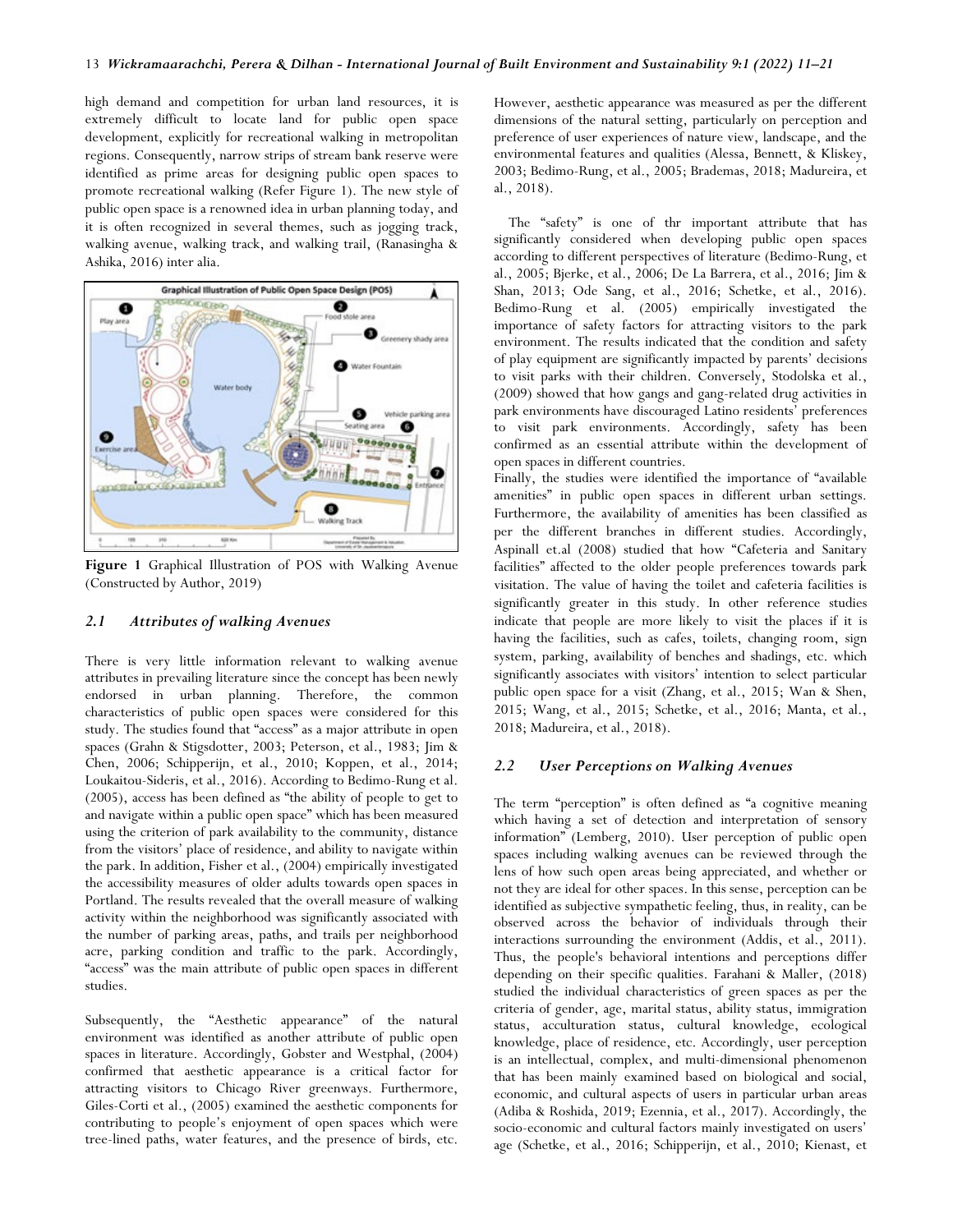high demand and competition for urban land resources, it is extremely difficult to locate land for public open space development, explicitly for recreational walking in metropolitan regions. Consequently, narrow strips of stream bank reserve were identified as prime areas for designing public open spaces to promote recreational walking (Refer Figure 1). The new style of public open space is a renowned idea in urban planning today, and it is often recognized in several themes, such as jogging track, walking avenue, walking track, and walking trail, (Ranasingha & Ashika, 2016) inter alia.



**Figure 1** Graphical Illustration of POS with Walking Avenue (Constructed by Author, 2019)

## *2.1 Attributes of walking Avenues*

There is very little information relevant to walking avenue attributes in prevailing literature since the concept has been newly endorsed in urban planning. Therefore, the common characteristics of public open spaces were considered for this study. The studies found that "access" as a major attribute in open spaces (Grahn & Stigsdotter, 2003; Peterson, et al., 1983; Jim & Chen, 2006; Schipperijn, et al., 2010; Koppen, et al., 2014; Loukaitou-Sideris, et al., 2016). According to Bedimo-Rung et al. (2005), access has been defined as "the ability of people to get to and navigate within a public open space" which has been measured using the criterion of park availability to the community, distance from the visitors' place of residence, and ability to navigate within the park. In addition, Fisher et al., (2004) empirically investigated the accessibility measures of older adults towards open spaces in Portland. The results revealed that the overall measure of walking activity within the neighborhood was significantly associated with the number of parking areas, paths, and trails per neighborhood acre, parking condition and traffic to the park. Accordingly, "access" was the main attribute of public open spaces in different studies.

Subsequently, the "Aesthetic appearance" of the natural environment was identified as another attribute of public open spaces in literature. Accordingly, Gobster and Westphal, (2004) confirmed that aesthetic appearance is a critical factor for attracting visitors to Chicago River greenways. Furthermore, Giles-Corti et al., (2005) examined the aesthetic components for contributing to people's enjoyment of open spaces which were tree-lined paths, water features, and the presence of birds, etc.

However, aesthetic appearance was measured as per the different dimensions of the natural setting, particularly on perception and preference of user experiences of nature view, landscape, and the environmental features and qualities (Alessa, Bennett, & Kliskey, 2003; Bedimo-Rung, et al., 2005; Brademas, 2018; Madureira, et al., 2018).

The "safety" is one of thr important attribute that has significantly considered when developing public open spaces according to different perspectives of literature (Bedimo-Rung, et al., 2005; Bjerke, et al., 2006; De La Barrera, et al., 2016; Jim & Shan, 2013; Ode Sang, et al., 2016; Schetke, et al., 2016). Bedimo-Rung et al. (2005) empirically investigated the importance of safety factors for attracting visitors to the park environment. The results indicated that the condition and safety of play equipment are significantly impacted by parents' decisions to visit parks with their children. Conversely, Stodolska et al., (2009) showed that how gangs and gang-related drug activities in park environments have discouraged Latino residents' preferences to visit park environments. Accordingly, safety has been confirmed as an essential attribute within the development of open spaces in different countries.

Finally, the studies were identified the importance of "available amenities" in public open spaces in different urban settings. Furthermore, the availability of amenities has been classified as per the different branches in different studies. Accordingly, Aspinall et.al (2008) studied that how "Cafeteria and Sanitary facilities" affected to the older people preferences towards park visitation. The value of having the toilet and cafeteria facilities is significantly greater in this study. In other reference studies indicate that people are more likely to visit the places if it is having the facilities, such as cafes, toilets, changing room, sign system, parking, availability of benches and shadings, etc. which significantly associates with visitors' intention to select particular public open space for a visit (Zhang, et al., 2015; Wan & Shen, 2015; Wang, et al., 2015; Schetke, et al., 2016; Manta, et al., 2018; Madureira, et al., 2018).

## *2.2 User Perceptions on Walking Avenues*

The term "perception" is often defined as "a cognitive meaning which having a set of detection and interpretation of sensory information" (Lemberg, 2010). User perception of public open spaces including walking avenues can be reviewed through the lens of how such open areas being appreciated, and whether or not they are ideal for other spaces. In this sense, perception can be identified as subjective sympathetic feeling, thus, in reality, can be observed across the behavior of individuals through their interactions surrounding the environment (Addis, et al., 2011). Thus, the people's behavioral intentions and perceptions differ depending on their specific qualities. Farahani & Maller, (2018) studied the individual characteristics of green spaces as per the criteria of gender, age, marital status, ability status, immigration status, acculturation status, cultural knowledge, ecological knowledge, place of residence, etc. Accordingly, user perception is an intellectual, complex, and multi-dimensional phenomenon that has been mainly examined based on biological and social, economic, and cultural aspects of users in particular urban areas (Adiba & Roshida, 2019; Ezennia, et al., 2017). Accordingly, the socio-economic and cultural factors mainly investigated on users' age (Schetke, et al., 2016; Schipperijn, et al., 2010; Kienast, et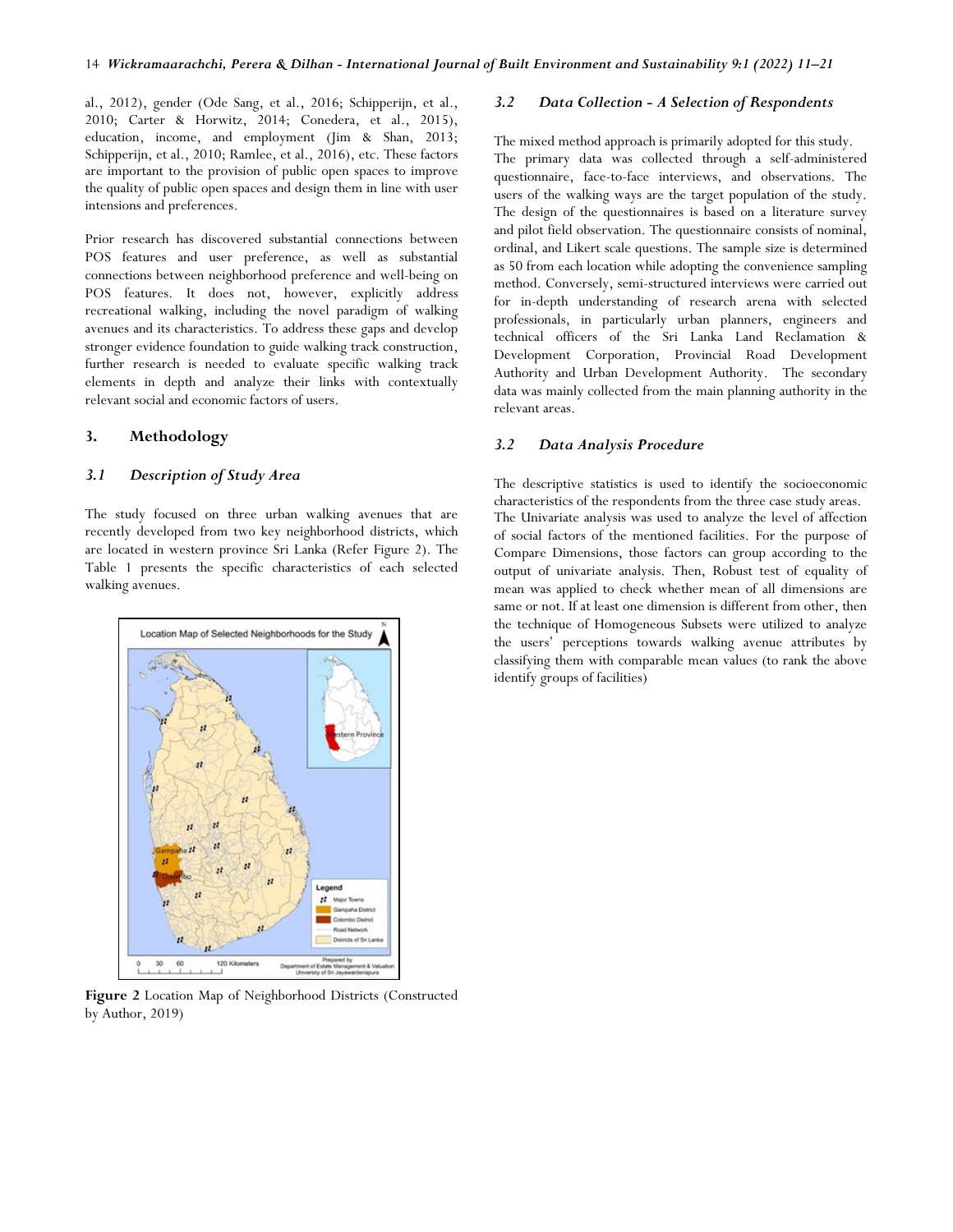al., 2012), gender (Ode Sang, et al., 2016; Schipperijn, et al., 2010; Carter & Horwitz, 2014; Conedera, et al., 2015), education, income, and employment (Jim & Shan, 2013; Schipperijn, et al., 2010; Ramlee, et al., 2016), etc. These factors are important to the provision of public open spaces to improve the quality of public open spaces and design them in line with user intensions and preferences.

Prior research has discovered substantial connections between POS features and user preference, as well as substantial connections between neighborhood preference and well-being on POS features. It does not, however, explicitly address recreational walking, including the novel paradigm of walking avenues and its characteristics. To address these gaps and develop stronger evidence foundation to guide walking track construction, further research is needed to evaluate specific walking track elements in depth and analyze their links with contextually relevant social and economic factors of users.

## **3. Methodology**

#### *3.1 Description of Study Area*

The study focused on three urban walking avenues that are recently developed from two key neighborhood districts, which are located in western province Sri Lanka (Refer Figure 2). The Table 1 presents the specific characteristics of each selected walking avenues.



**Figure 2** Location Map of Neighborhood Districts (Constructed by Author, 2019)

## *3.2 Data Collection - A Selection of Respondents*

The mixed method approach is primarily adopted for this study. The primary data was collected through a self-administered questionnaire, face-to-face interviews, and observations. The users of the walking ways are the target population of the study. The design of the questionnaires is based on a literature survey and pilot field observation. The questionnaire consists of nominal, ordinal, and Likert scale questions. The sample size is determined as 50 from each location while adopting the convenience sampling method. Conversely, semi-structured interviews were carried out for in-depth understanding of research arena with selected professionals, in particularly urban planners, engineers and technical officers of the Sri Lanka Land Reclamation & Development Corporation, Provincial Road Development Authority and Urban Development Authority. The secondary data was mainly collected from the main planning authority in the relevant areas.

## *3.2 Data Analysis Procedure*

The descriptive statistics is used to identify the socioeconomic characteristics of the respondents from the three case study areas. The Univariate analysis was used to analyze the level of affection of social factors of the mentioned facilities. For the purpose of Compare Dimensions, those factors can group according to the output of univariate analysis. Then, Robust test of equality of mean was applied to check whether mean of all dimensions are same or not. If at least one dimension is different from other, then the technique of Homogeneous Subsets were utilized to analyze the users' perceptions towards walking avenue attributes by classifying them with comparable mean values (to rank the above identify groups of facilities)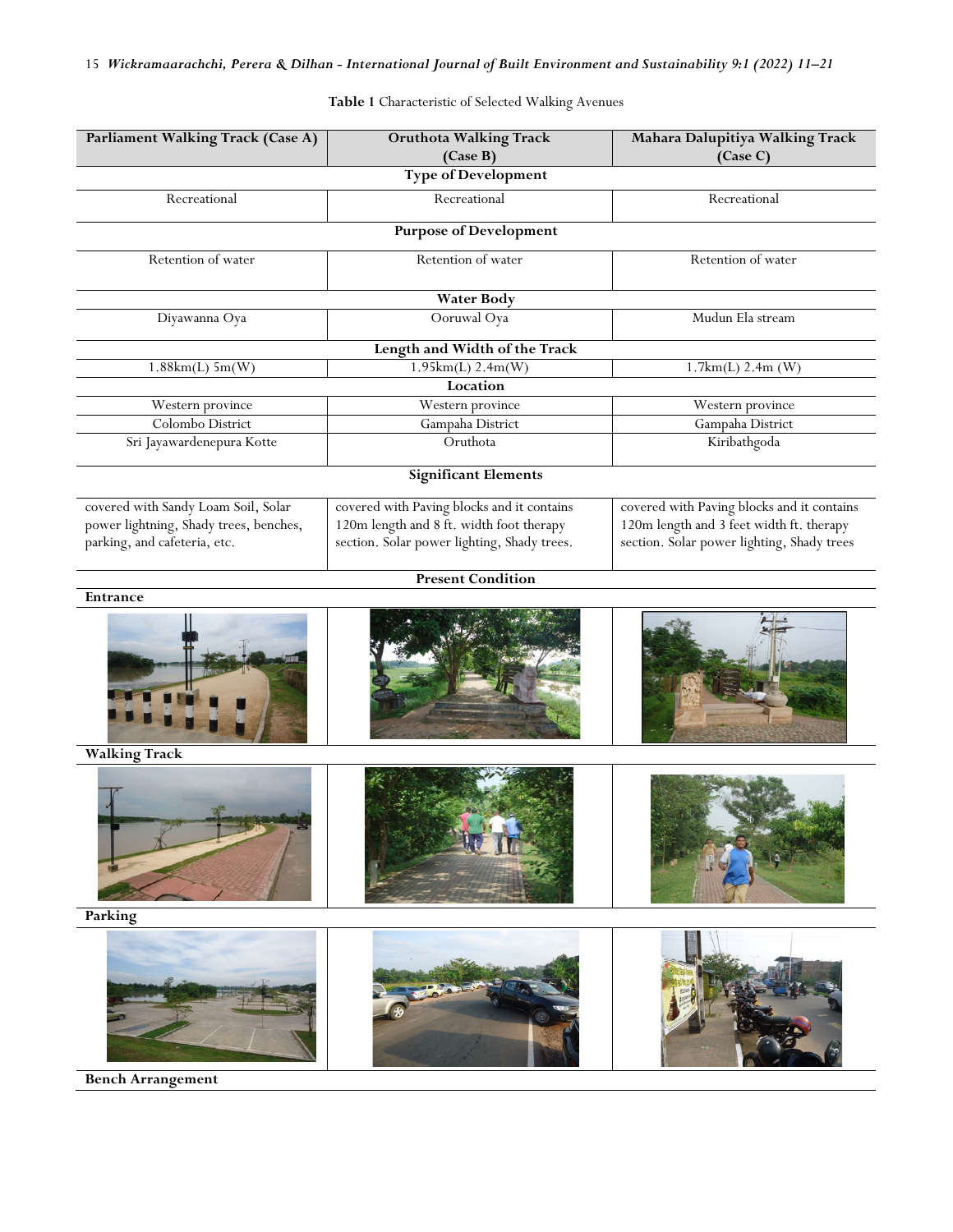| Parliament Walking Track (Case A)                                                                             | <b>Oruthota Walking Track</b><br>(Case B)                                                                                             | Mahara Dalupitiya Walking Track<br>(Case C)                                                                                          |
|---------------------------------------------------------------------------------------------------------------|---------------------------------------------------------------------------------------------------------------------------------------|--------------------------------------------------------------------------------------------------------------------------------------|
|                                                                                                               | <b>Type of Development</b>                                                                                                            |                                                                                                                                      |
| Recreational                                                                                                  | Recreational                                                                                                                          | Recreational                                                                                                                         |
|                                                                                                               | <b>Purpose of Development</b>                                                                                                         |                                                                                                                                      |
| Retention of water                                                                                            | Retention of water                                                                                                                    | Retention of water                                                                                                                   |
|                                                                                                               | <b>Water Body</b>                                                                                                                     |                                                                                                                                      |
| Diyawanna Oya                                                                                                 | Ooruwal Oya                                                                                                                           | Mudun Ela stream                                                                                                                     |
|                                                                                                               | Length and Width of the Track                                                                                                         |                                                                                                                                      |
| $1.88km(L)$ 5m(W)                                                                                             | 1.95km(L) 2.4m(W)                                                                                                                     | 1.7km(L) 2.4m(W)                                                                                                                     |
|                                                                                                               | Location                                                                                                                              |                                                                                                                                      |
| Western province                                                                                              | Western province                                                                                                                      | Western province                                                                                                                     |
| Colombo District                                                                                              | Gampaha District                                                                                                                      | Gampaha District                                                                                                                     |
| Sri Jayawardenepura Kotte                                                                                     | Oruthota                                                                                                                              | Kiribathgoda                                                                                                                         |
|                                                                                                               | <b>Significant Elements</b>                                                                                                           |                                                                                                                                      |
| covered with Sandy Loam Soil, Solar<br>power lightning, Shady trees, benches,<br>parking, and cafeteria, etc. | covered with Paving blocks and it contains<br>120m length and 8 ft. width foot therapy<br>section. Solar power lighting, Shady trees. | covered with Paving blocks and it contains<br>120m length and 3 feet width ft. therapy<br>section. Solar power lighting, Shady trees |
|                                                                                                               | <b>Present Condition</b>                                                                                                              |                                                                                                                                      |
| Entrance                                                                                                      |                                                                                                                                       |                                                                                                                                      |
|                                                                                                               |                                                                                                                                       |                                                                                                                                      |
| <b>Walking Track</b>                                                                                          |                                                                                                                                       |                                                                                                                                      |
|                                                                                                               |                                                                                                                                       |                                                                                                                                      |
| Parking                                                                                                       |                                                                                                                                       |                                                                                                                                      |
|                                                                                                               |                                                                                                                                       |                                                                                                                                      |

**Table 1** Characteristic of Selected Walking Avenues

**Bench Arrangement**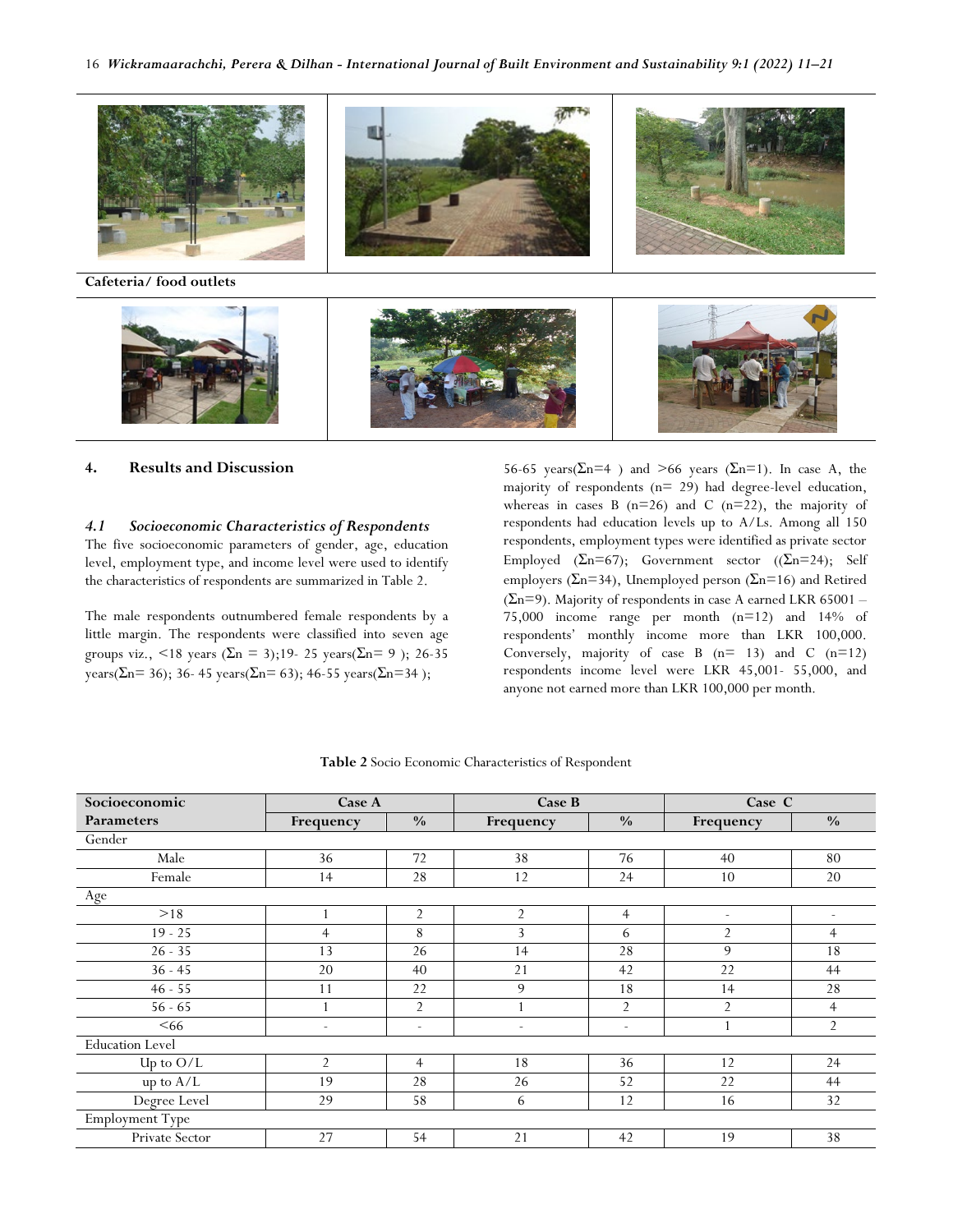

## **4. Results and Discussion**

# *4.1 Socioeconomic Characteristics of Respondents*

The five socioeconomic parameters of gender, age, education level, employment type, and income level were used to identify the characteristics of respondents are summarized in Table 2.

The male respondents outnumbered female respondents by a little margin. The respondents were classified into seven age groups viz., <18 years (Σn = 3);19- 25 years(Σn = 9); 26-35 years( $\Sigma$ n= 36); 36- 45 years( $\Sigma$ n= 63); 46-55 years( $\Sigma$ n=34);

56-65 years( $\Sigma$ n=4) and >66 years ( $\Sigma$ n=1). In case A, the majority of respondents (n= 29) had degree-level education, whereas in cases B  $(n=26)$  and C  $(n=22)$ , the majority of respondents had education levels up to A/Ls. Among all 150 respondents, employment types were identified as private sector Employed ( $\Sigma$ n=67); Government sector (( $\Sigma$ n=24); Self employers ( $\Sigma$ n=34), Unemployed person ( $\Sigma$ n=16) and Retired  $(\Sigma n=9)$ . Majority of respondents in case A earned LKR 65001 – 75,000 income range per month (n=12) and 14% of respondents' monthly income more than LKR 100,000. Conversely, majority of case B  $(n= 13)$  and C  $(n=12)$ respondents income level were LKR 45,001- 55,000, and anyone not earned more than LKR 100,000 per month.

| Socioeconomic          | <b>Case A</b>            |                          | Case B                   |                          | Case C                   |                          |  |
|------------------------|--------------------------|--------------------------|--------------------------|--------------------------|--------------------------|--------------------------|--|
| <b>Parameters</b>      | Frequency                | $\frac{0}{0}$            | Frequency                | $\frac{0}{0}$            | Frequency                | $\frac{0}{0}$            |  |
| Gender                 |                          |                          |                          |                          |                          |                          |  |
| Male                   | 36                       | 72                       | 38                       | 76                       | 40                       | 80                       |  |
| Female                 | 14                       | 28                       | 12                       | 24                       | 10                       | 20                       |  |
| Age                    |                          |                          |                          |                          |                          |                          |  |
| >18                    |                          | $\overline{2}$           | $\overline{2}$           | $\overline{4}$           | $\overline{\phantom{a}}$ | $\overline{\phantom{a}}$ |  |
| $19 - 25$              | $\overline{4}$           | 8                        | 3                        | 6                        | $\overline{2}$           | $\overline{4}$           |  |
| $26 - 35$              | 13                       | 26                       | 14                       | 28                       | 9                        | 18                       |  |
| $36 - 45$              | 20                       | 40                       | 21                       | 42                       | 22                       | 44                       |  |
| $46 - 55$              | 11                       | 22                       | 9                        | 18                       | 14                       | 28                       |  |
| $56 - 65$              |                          | $\overline{2}$           |                          | 2                        | $\overline{2}$           | $\overline{4}$           |  |
| <66                    | $\overline{\phantom{a}}$ | $\overline{\phantom{a}}$ | $\overline{\phantom{a}}$ | $\overline{\phantom{a}}$ |                          | $\overline{2}$           |  |
| <b>Education Level</b> |                          |                          |                          |                          |                          |                          |  |
| Up to $O/L$            | $\overline{2}$           | $\overline{4}$           | 18                       | 36                       | 12                       | 24                       |  |
| up to $A/L$            | 19                       | 28                       | 26                       | 52                       | 22                       | 44                       |  |
| Degree Level           | 29                       | 58                       | 6                        | 12                       | 16                       | 32                       |  |
| Employment Type        |                          |                          |                          |                          |                          |                          |  |
| Private Sector         | 27                       | 54                       | 21                       | 42                       | 19                       | 38                       |  |

**Table 2** Socio Economic Characteristics of Respondent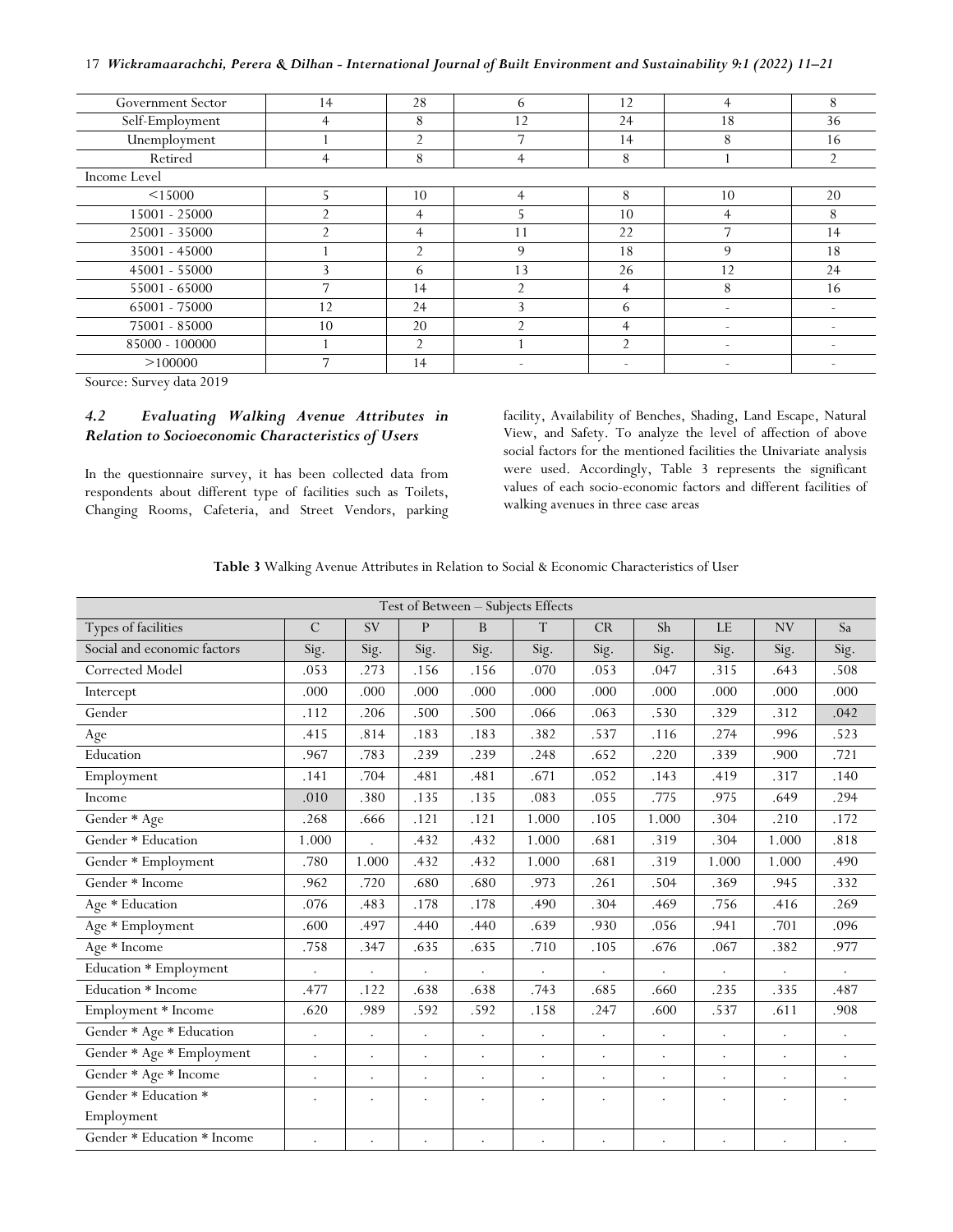17 *Wickramaarachchi, Perera & Dilhan - International Journal of Built Environment and Sustainability 9:1 (2022) 11–21*

| Government Sector | 14 | 28             | 6              | 12             | 4  | 8              |
|-------------------|----|----------------|----------------|----------------|----|----------------|
| Self-Employment   | 4  | 8              | 12             | 24             | 18 | 36             |
| Unemployment      |    | $\mathfrak{D}$ | 7              | 14             | 8  | 16             |
| Retired           | 4  | 8              | 4              | 8              |    | $\overline{2}$ |
| Income Level      |    |                |                |                |    |                |
| < 15000           |    | 10             | 4              | 8              | 10 | 20             |
| 15001 - 25000     |    | 4              |                | 10             | 4  | 8              |
| 25001 - 35000     |    | 4              | 11             | 22             |    | 14             |
| 35001 - 45000     |    | $\mathfrak{D}$ | 9              | 18             | 9  | 18             |
| 45001 - 55000     |    | 6              | 13             | 26             | 12 | 24             |
| 55001 - 65000     |    | 14             | $\mathfrak{D}$ | $\overline{4}$ | 8  | 16             |
| 65001 - 75000     | 12 | 24             | $\mathbf{3}$   | 6              | -  |                |
| 75001 - 85000     | 10 | 20             | $\mathcal{D}$  | $\overline{4}$ | ٠  |                |
| 85000 - 100000    |    | $\mathfrak{D}$ |                | $\mathfrak{D}$ |    |                |
| >100000           |    | 14             |                | ۰              |    |                |

Source: Survey data 2019

# *4.2 Evaluating Walking Avenue Attributes in Relation to Socioeconomic Characteristics of Users*

In the questionnaire survey, it has been collected data from respondents about different type of facilities such as Toilets, Changing Rooms, Cafeteria, and Street Vendors, parking facility, Availability of Benches, Shading, Land Escape, Natural View, and Safety. To analyze the level of affection of above social factors for the mentioned facilities the Univariate analysis were used. Accordingly, Table 3 represents the significant values of each socio-economic factors and different facilities of walking avenues in three case areas

**Table 3** Walking Avenue Attributes in Relation to Social & Economic Characteristics of User

|                             |                      |                      |              |           | Test of Between - Subjects Effects |                      |                      |         |           |           |
|-----------------------------|----------------------|----------------------|--------------|-----------|------------------------------------|----------------------|----------------------|---------|-----------|-----------|
| Types of facilities         | $\mathcal{C}$        | <b>SV</b>            | $\mathsf{P}$ | B         | $\mathbf T$                        | CR                   | Sh                   | LE      | NV        | Sa        |
| Social and economic factors | Sig.                 | Sig.                 | Sig.         | Sig.      | Sig.                               | Sig.                 | Sig.                 | Sig.    | Sig.      | Sig.      |
| Corrected Model             | .053                 | .273                 | .156         | .156      | .070                               | .053                 | .047                 | .315    | .643      | .508      |
| Intercept                   | .000                 | .000                 | .000         | .000      | .000                               | .000                 | .000                 | .000    | .000      | .000      |
| Gender                      | .112                 | .206                 | .500         | .500      | .066                               | .063                 | .530                 | .329    | .312      | .042      |
| Age                         | .415                 | .814                 | .183         | .183      | .382                               | .537                 | .116                 | .274    | .996      | .523      |
| Education                   | .967                 | .783                 | .239         | .239      | .248                               | .652                 | .220                 | .339    | .900      | .721      |
| Employment                  | .141                 | .704                 | .481         | .481      | .671                               | .052                 | .143                 | .419    | .317      | .140      |
| Income                      | .010                 | .380                 | .135         | .135      | .083                               | .055                 | .775                 | .975    | .649      | .294      |
| Gender * Age                | .268                 | .666                 | .121         | .121      | 1.000                              | .105                 | 1.000                | .304    | .210      | .172      |
| Gender * Education          | 1.000                |                      | .432         | .432      | 1.000                              | .681                 | .319                 | .304    | 1.000     | .818      |
| Gender * Employment         | .780                 | 1.000                | .432         | .432      | 1.000                              | .681                 | .319                 | 1.000   | 1.000     | .490      |
| Gender * Income             | .962                 | .720                 | .680         | .680      | .973                               | .261                 | .504                 | .369    | .945      | .332      |
| Age * Education             | .076                 | .483                 | .178         | .178      | .490                               | .304                 | .469                 | .756    | .416      | .269      |
| Age * Employment            | .600                 | .497                 | .440         | .440      | .639                               | .930                 | .056                 | .941    | .701      | .096      |
| Age * Income                | .758                 | .347                 | .635         | .635      | .710                               | .105                 | .676                 | .067    | .382      | .977      |
| Education * Employment      |                      | $\bullet$            | ÷            |           |                                    |                      |                      |         |           |           |
| Education * Income          | .477                 | .122                 | .638         | .638      | .743                               | .685                 | .660                 | .235    | .335      | .487      |
| Employment * Income         | .620                 | .989                 | .592         | .592      | .158                               | .247                 | .600                 | .537    | .611      | .908      |
| Gender * Age * Education    | $\ddot{\phantom{0}}$ | $\bullet$            | $\bullet$    | $\bullet$ | $\ddot{\phantom{0}}$               | $\ddot{\phantom{0}}$ | $\cdot$              | $\cdot$ | $\cdot$   | $\bullet$ |
| Gender * Age * Employment   | $\ddot{\phantom{0}}$ |                      |              |           |                                    | $\ddot{\phantom{0}}$ | $\ddot{\phantom{0}}$ |         |           |           |
| Gender * Age * Income       | $\ddot{\phantom{0}}$ | $\ddot{\phantom{0}}$ | $\cdot$      |           | $\ddot{\phantom{0}}$               | $\ddot{\phantom{a}}$ | $\ddot{\phantom{0}}$ |         | $\bullet$ |           |
| Gender * Education *        | $\bullet$            |                      |              |           | $\ddot{\phantom{0}}$               | $\ddot{\phantom{a}}$ | $\ddot{\phantom{0}}$ |         | $\cdot$   |           |
| Employment                  |                      |                      |              |           |                                    |                      |                      |         |           |           |
| Gender * Education * Income |                      |                      |              |           |                                    |                      |                      |         |           |           |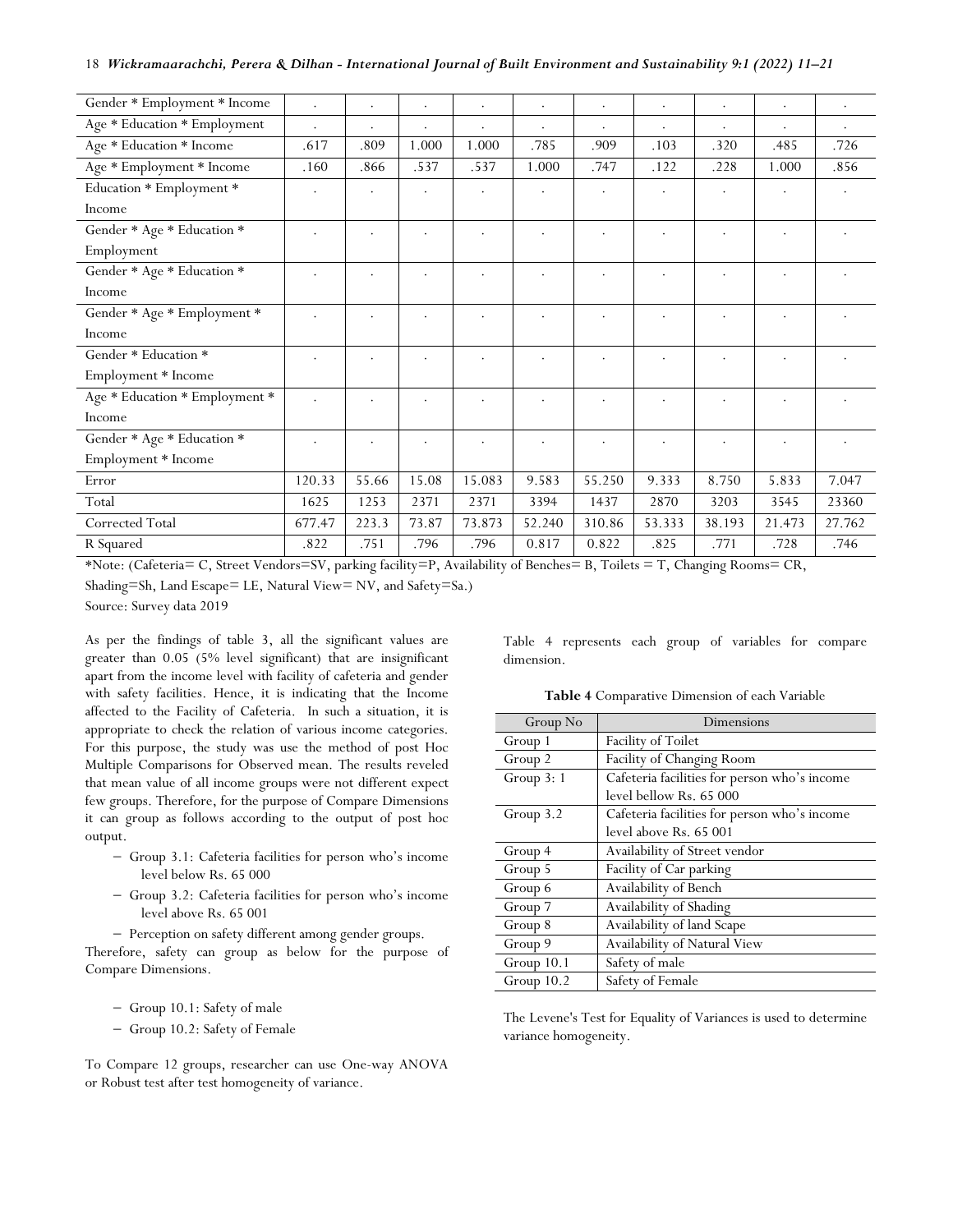| Gender * Employment * Income   | $\ddot{\phantom{a}}$ |         |       | $\bullet$ |        | $\bullet$ | $\bullet$ | $\cdot$   | $\bullet$ | $\cdot$ |
|--------------------------------|----------------------|---------|-------|-----------|--------|-----------|-----------|-----------|-----------|---------|
| Age * Education * Employment   | $\ddot{\phantom{a}}$ | $\cdot$ | ٠     |           |        |           | $\bullet$ | $\bullet$ |           |         |
| Age * Education * Income       | .617                 | .809    | 1.000 | 1.000     | .785   | .909      | .103      | .320      | .485      | .726    |
| Age * Employment * Income      | .160                 | .866    | .537  | .537      | 1.000  | .747      | .122      | .228      | 1.000     | .856    |
| Education * Employment *       | $\bullet$            |         |       |           |        |           |           |           |           |         |
| Income                         |                      |         |       |           |        |           |           |           |           |         |
| Gender * Age * Education *     |                      |         |       |           |        |           |           |           |           |         |
| Employment                     |                      |         |       |           |        |           |           |           |           |         |
| Gender * Age * Education *     | ٠                    |         |       |           |        |           |           |           |           |         |
| Income                         |                      |         |       |           |        |           |           |           |           |         |
| Gender * Age * Employment *    |                      |         |       |           |        |           |           |           |           |         |
| Income                         |                      |         |       |           |        |           |           |           |           |         |
| Gender * Education *           |                      |         |       |           |        |           |           |           |           |         |
| Employment * Income            |                      |         |       |           |        |           |           |           |           |         |
| Age * Education * Employment * | $\cdot$              |         |       |           |        |           |           |           |           |         |
| Income                         |                      |         |       |           |        |           |           |           |           |         |
| Gender * Age * Education *     |                      |         |       |           |        |           |           |           |           |         |
| Employment * Income            |                      |         |       |           |        |           |           |           |           |         |
| Error                          | 120.33               | 55.66   | 15.08 | 15.083    | 9.583  | 55.250    | 9.333     | 8.750     | 5.833     | 7.047   |
| Total                          | 1625                 | 1253    | 2371  | 2371      | 3394   | 1437      | 2870      | 3203      | 3545      | 23360   |
| Corrected Total                | 677.47               | 223.3   | 73.87 | 73.873    | 52.240 | 310.86    | 53.333    | 38.193    | 21.473    | 27.762  |
| R Squared                      | .822                 | .751    | .796  | .796      | 0.817  | 0.822     | .825      | .771      | .728      | .746    |

\*Note: (Cafeteria= C, Street Vendors=SV, parking facility=P, Availability of Benches= B, Toilets = T, Changing Rooms= CR, Shading=Sh, Land Escape= LE, Natural View= NV, and Safety=Sa.)

Source: Survey data 2019

As per the findings of table 3, all the significant values are greater than 0.05 (5% level significant) that are insignificant apart from the income level with facility of cafeteria and gender with safety facilities. Hence, it is indicating that the Income affected to the Facility of Cafeteria. In such a situation, it is appropriate to check the relation of various income categories. For this purpose, the study was use the method of post Hoc Multiple Comparisons for Observed mean. The results reveled that mean value of all income groups were not different expect few groups. Therefore, for the purpose of Compare Dimensions it can group as follows according to the output of post hoc output.

- − Group 3.1: Cafeteria facilities for person who's income level below Rs. 65 000
- − Group 3.2: Cafeteria facilities for person who's income level above Rs. 65 001
- − Perception on safety different among gender groups.

Therefore, safety can group as below for the purpose of Compare Dimensions.

- − Group 10.1: Safety of male
- − Group 10.2: Safety of Female

To Compare 12 groups, researcher can use One-way ANOVA or Robust test after test homogeneity of variance.

Table 4 represents each group of variables for compare dimension.

**Table 4** Comparative Dimension of each Variable

| Group No     | Dimensions                                   |
|--------------|----------------------------------------------|
| Group 1      | Facility of Toilet                           |
| Group 2      | Facility of Changing Room                    |
| Group $3:1$  | Cafeteria facilities for person who's income |
|              | level bellow Rs. 65 000                      |
| Group 3.2    | Cafeteria facilities for person who's income |
|              | level above Rs. 65 001                       |
| Group 4      | Availability of Street vendor                |
| Group 5      | Facility of Car parking                      |
| Group 6      | Availability of Bench                        |
| Group 7      | Availability of Shading                      |
| Group 8      | Availability of land Scape                   |
| Group 9      | Availability of Natural View                 |
| Group 10.1   | Safety of male                               |
| Group $10.2$ | Safety of Female                             |

The Levene's Test for Equality of Variances is used to determine variance homogeneity.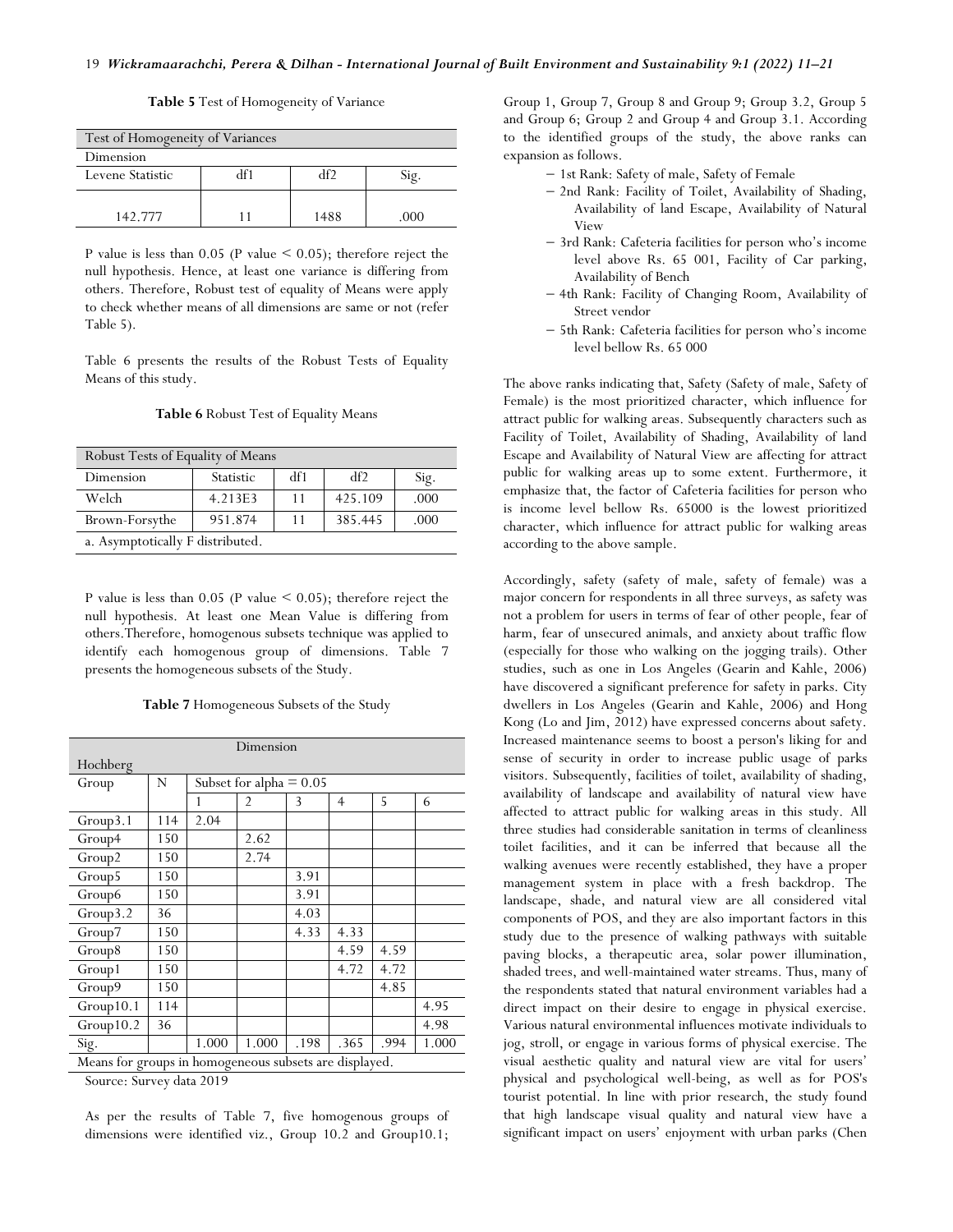| Test of Homogeneity of Variances |  |      |        |  |  |  |  |  |
|----------------------------------|--|------|--------|--|--|--|--|--|
| Dimension                        |  |      |        |  |  |  |  |  |
| ብናን<br>Levene Statistic          |  |      |        |  |  |  |  |  |
|                                  |  |      |        |  |  |  |  |  |
| 142 777                          |  | 1488 | (1()() |  |  |  |  |  |

**Table 5** Test of Homogeneity of Variance

P value is less than  $0.05$  (P value  $\leq 0.05$ ); therefore reject the null hypothesis. Hence, at least one variance is differing from others. Therefore, Robust test of equality of Means were apply to check whether means of all dimensions are same or not (refer Table 5).

Table 6 presents the results of the Robust Tests of Equality Means of this study.

| Robust Tests of Equality of Means |                  |     |         |      |  |  |  |  |
|-----------------------------------|------------------|-----|---------|------|--|--|--|--|
| Dimension                         | <b>Statistic</b> | df1 | df2     | Sig. |  |  |  |  |
| Welch                             | 4.213E3          | 11  | 425.109 | .000 |  |  |  |  |
| Brown-Forsythe                    | 951.874          | 11  | 385.445 | .000 |  |  |  |  |
| a. Asymptotically F distributed.  |                  |     |         |      |  |  |  |  |

#### **Table 6** Robust Test of Equality Means

P value is less than  $0.05$  (P value  $\leq 0.05$ ); therefore reject the null hypothesis. At least one Mean Value is differing from others.Therefore, homogenous subsets technique was applied to identify each homogenous group of dimensions. Table 7 presents the homogeneous subsets of the Study.

**Table 7** Homogeneous Subsets of the Study

| Dimension                                              |     |       |                           |      |                |      |       |  |  |
|--------------------------------------------------------|-----|-------|---------------------------|------|----------------|------|-------|--|--|
| Hochberg                                               |     |       |                           |      |                |      |       |  |  |
| Group                                                  | N   |       | Subset for alpha $= 0.05$ |      |                |      |       |  |  |
|                                                        |     | 1     | $\overline{2}$            | 3    | $\overline{4}$ | 5    | 6     |  |  |
| Group3.1                                               | 114 | 2.04  |                           |      |                |      |       |  |  |
| Group4                                                 | 150 |       | 2.62                      |      |                |      |       |  |  |
| Group2                                                 | 150 |       | 2.74                      |      |                |      |       |  |  |
| Group5                                                 | 150 |       |                           | 3.91 |                |      |       |  |  |
| Group6                                                 | 150 |       |                           | 3.91 |                |      |       |  |  |
| Group3.2                                               | 36  |       |                           | 4.03 |                |      |       |  |  |
| Group7                                                 | 150 |       |                           | 4.33 | 4.33           |      |       |  |  |
| Group8                                                 | 150 |       |                           |      | 4.59           | 4.59 |       |  |  |
| Group1                                                 | 150 |       |                           |      | 4.72           | 4.72 |       |  |  |
| Group9                                                 | 150 |       |                           |      |                | 4.85 |       |  |  |
| Group10.1                                              | 114 |       |                           |      |                |      | 4.95  |  |  |
| Group10.2                                              | 36  |       |                           |      |                |      | 4.98  |  |  |
| Sig.                                                   |     | 1.000 | 1.000                     | .198 | .365           | .994 | 1.000 |  |  |
| Means for groups in homogeneous subsets are displayed. |     |       |                           |      |                |      |       |  |  |

Source: Survey data 2019

As per the results of Table 7, five homogenous groups of dimensions were identified viz., Group 10.2 and Group10.1;

Group 1, Group 7, Group 8 and Group 9; Group 3.2, Group 5 and Group 6; Group 2 and Group 4 and Group 3.1. According to the identified groups of the study, the above ranks can expansion as follows.

- − 1st Rank: Safety of male, Safety of Female
- − 2nd Rank: Facility of Toilet, Availability of Shading, Availability of land Escape, Availability of Natural View
- − 3rd Rank: Cafeteria facilities for person who's income level above Rs. 65 001, Facility of Car parking, Availability of Bench
- − 4th Rank: Facility of Changing Room, Availability of Street vendor
- − 5th Rank: Cafeteria facilities for person who's income level bellow Rs. 65 000

The above ranks indicating that, Safety (Safety of male, Safety of Female) is the most prioritized character, which influence for attract public for walking areas. Subsequently characters such as Facility of Toilet, Availability of Shading, Availability of land Escape and Availability of Natural View are affecting for attract public for walking areas up to some extent. Furthermore, it emphasize that, the factor of Cafeteria facilities for person who is income level bellow Rs. 65000 is the lowest prioritized character, which influence for attract public for walking areas according to the above sample.

Accordingly, safety (safety of male, safety of female) was a major concern for respondents in all three surveys, as safety was not a problem for users in terms of fear of other people, fear of harm, fear of unsecured animals, and anxiety about traffic flow (especially for those who walking on the jogging trails). Other studies, such as one in Los Angeles (Gearin and Kahle, 2006) have discovered a significant preference for safety in parks. City dwellers in Los Angeles (Gearin and Kahle, 2006) and Hong Kong (Lo and Jim, 2012) have expressed concerns about safety. Increased maintenance seems to boost a person's liking for and sense of security in order to increase public usage of parks visitors. Subsequently, facilities of toilet, availability of shading, availability of landscape and availability of natural view have affected to attract public for walking areas in this study. All three studies had considerable sanitation in terms of cleanliness toilet facilities, and it can be inferred that because all the walking avenues were recently established, they have a proper management system in place with a fresh backdrop. The landscape, shade, and natural view are all considered vital components of POS, and they are also important factors in this study due to the presence of walking pathways with suitable paving blocks, a therapeutic area, solar power illumination, shaded trees, and well-maintained water streams. Thus, many of the respondents stated that natural environment variables had a direct impact on their desire to engage in physical exercise. Various natural environmental influences motivate individuals to jog, stroll, or engage in various forms of physical exercise. The visual aesthetic quality and natural view are vital for users' physical and psychological well-being, as well as for POS's tourist potential. In line with prior research, the study found that high landscape visual quality and natural view have a significant impact on users' enjoyment with urban parks (Chen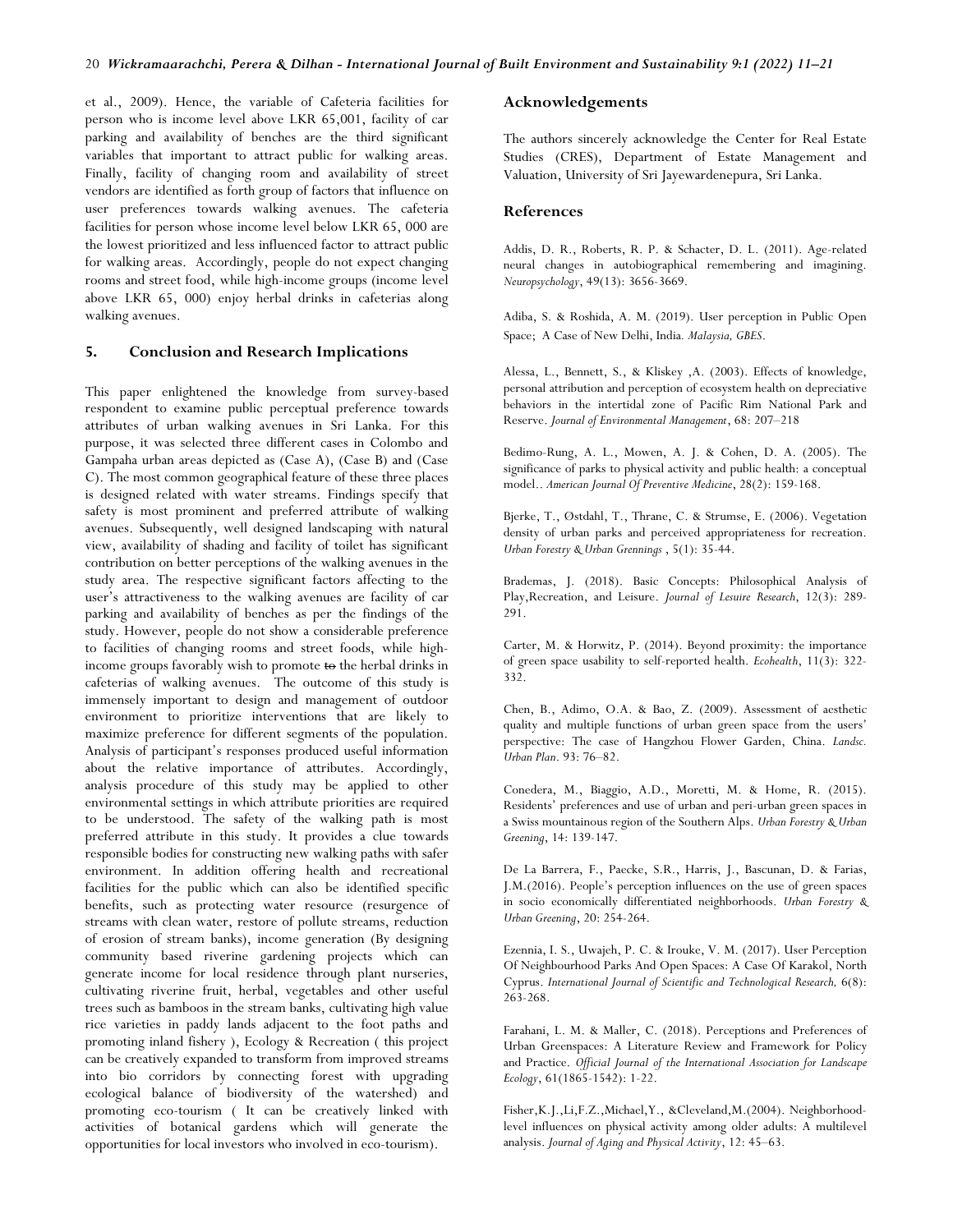et al., 2009). Hence, the variable of Cafeteria facilities for person who is income level above LKR 65,001, facility of car parking and availability of benches are the third significant variables that important to attract public for walking areas. Finally, facility of changing room and availability of street vendors are identified as forth group of factors that influence on user preferences towards walking avenues. The cafeteria facilities for person whose income level below LKR 65, 000 are the lowest prioritized and less influenced factor to attract public for walking areas. Accordingly, people do not expect changing rooms and street food, while high-income groups (income level above LKR 65, 000) enjoy herbal drinks in cafeterias along walking avenues.

#### **5. Conclusion and Research Implications**

This paper enlightened the knowledge from survey-based respondent to examine public perceptual preference towards attributes of urban walking avenues in Sri Lanka. For this purpose, it was selected three different cases in Colombo and Gampaha urban areas depicted as (Case A), (Case B) and (Case C). The most common geographical feature of these three places is designed related with water streams. Findings specify that safety is most prominent and preferred attribute of walking avenues. Subsequently, well designed landscaping with natural view, availability of shading and facility of toilet has significant contribution on better perceptions of the walking avenues in the study area. The respective significant factors affecting to the user's attractiveness to the walking avenues are facility of car parking and availability of benches as per the findings of the study. However, people do not show a considerable preference to facilities of changing rooms and street foods, while highincome groups favorably wish to promote to the herbal drinks in cafeterias of walking avenues. The outcome of this study is immensely important to design and management of outdoor environment to prioritize interventions that are likely to maximize preference for different segments of the population. Analysis of participant's responses produced useful information about the relative importance of attributes. Accordingly, analysis procedure of this study may be applied to other environmental settings in which attribute priorities are required to be understood. The safety of the walking path is most preferred attribute in this study. It provides a clue towards responsible bodies for constructing new walking paths with safer environment. In addition offering health and recreational facilities for the public which can also be identified specific benefits, such as protecting water resource (resurgence of streams with clean water, restore of pollute streams, reduction of erosion of stream banks), income generation (By designing community based riverine gardening projects which can generate income for local residence through plant nurseries, cultivating riverine fruit, herbal, vegetables and other useful trees such as bamboos in the stream banks, cultivating high value rice varieties in paddy lands adjacent to the foot paths and promoting inland fishery ), Ecology & Recreation ( this project can be creatively expanded to transform from improved streams into bio corridors by connecting forest with upgrading ecological balance of biodiversity of the watershed) and promoting eco-tourism ( It can be creatively linked with activities of botanical gardens which will generate the opportunities for local investors who involved in eco-tourism).

## **Acknowledgements**

The authors sincerely acknowledge the Center for Real Estate Studies (CRES), Department of Estate Management and Valuation, University of Sri Jayewardenepura, Sri Lanka.

#### **References**

Addis, D. R., Roberts, R. P. & Schacter, D. L. (2011). Age-related neural changes in autobiographical remembering and imagining. *Neuropsychology*, 49(13): 3656-3669.

Adiba, S. & Roshida, A. M. (2019). User perception in Public Open Space; A Case of New Delhi, India*. Malaysia, GBES*.

Alessa, L., Bennett, S., & Kliskey ,A. (2003). Effects of knowledge, personal attribution and perception of ecosystem health on depreciative behaviors in the intertidal zone of Pacific Rim National Park and Reserve. *Journal of Environmental Management*, 68: 207–218

Bedimo-Rung, A. L., Mowen, A. J. & Cohen, D. A. (2005). The significance of parks to physical activity and public health: a conceptual model.. *American Journal Of Preventive Medicine*, 28(2): 159-168.

Bjerke, T., Østdahl, T., Thrane, C. & Strumse, E. (2006). Vegetation density of urban parks and perceived appropriateness for recreation. *Urban Forestry & Urban Grennings* , 5(1): 35-44.

Brademas, J. (2018). Basic Concepts: Philosophical Analysis of Play,Recreation, and Leisure. *Journal of Lesuire Research*, 12(3): 289- 291.

Carter, M. & Horwitz, P. (2014). Beyond proximity: the importance of green space usability to self-reported health. *Ecohealth*, 11(3): 322- 332.

Chen, B., Adimo, O.A. & Bao, Z. (2009). Assessment of aesthetic quality and multiple functions of urban green space from the users' perspective: The case of Hangzhou Flower Garden, China. *Landsc. Urban Plan*. 93: 76–82.

Conedera, M., Biaggio, A.D., Moretti, M. & Home, R. (2015). Residents' preferences and use of urban and peri-urban green spaces in a Swiss mountainous region of the Southern Alps. *Urban Forestry & Urban Greening*, 14: 139-147.

De La Barrera, F., Paecke, S.R., Harris, J., Bascunan, D. & Farias, J.M.(2016). People's perception influences on the use of green spaces in socio economically differentiated neighborhoods. *Urban Forestry & Urban Greening*, 20: 254-264.

Ezennia, I. S., Uwajeh, P. C. & Irouke, V. M. (2017). User Perception Of Neighbourhood Parks And Open Spaces: A Case Of Karakol, North Cyprus. *International Journal of Scientific and Technological Research,* 6(8): 263-268.

Farahani, L. M. & Maller, C. (2018). Perceptions and Preferences of Urban Greenspaces: A Literature Review and Framework for Policy and Practice. *Official Journal of the International Association for Landscape Ecology*, 61(1865-1542): 1-22.

Fisher,K.J.,Li,F.Z.,Michael,Y., &Cleveland,M.(2004). Neighborhoodlevel influences on physical activity among older adults: A multilevel analysis. *Journal of Aging and Physical Activity*, 12: 45–63.